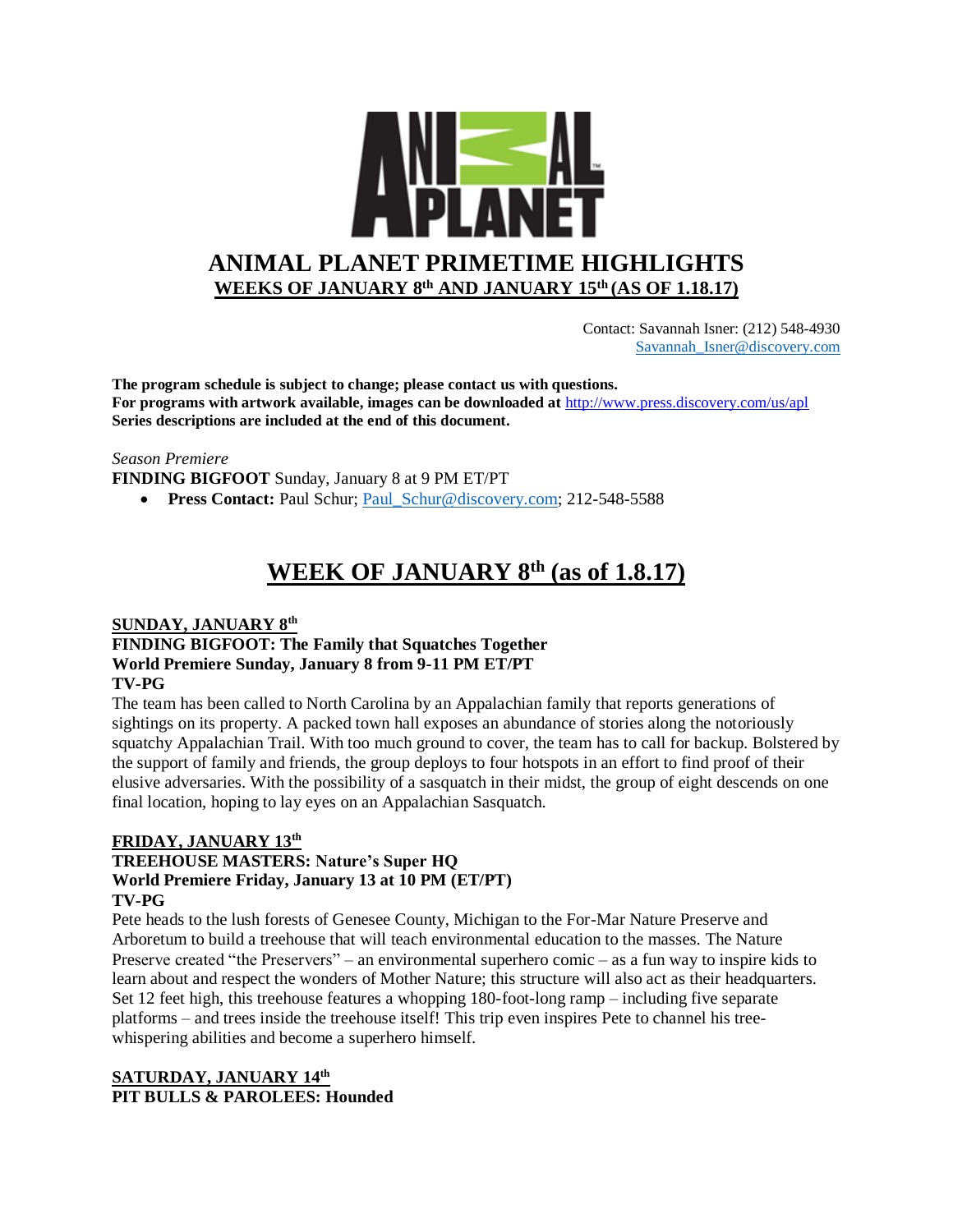

 Contact: Savannah Isner: (212) 548-4930 [Savannah\\_Isner@discovery.com](mailto:Savannah_Isner@discovery.com)

**The program schedule is subject to change; please contact us with questions. For programs with artwork available, images can be downloaded at** http://www.press.discovery.com/us/apl **Series descriptions are included at the end of this document.** 

#### *Season Premiere*

**FINDING BIGFOOT** Sunday, January 8 at 9 PM ET/PT

• **Press Contact: Paul Schur; Paul Schur@discovery.com; 212-548-5588** 

# **WEEK OF JANUARY 8th (as of 1.8.17)**

### **SUNDAY, JANUARY 8th FINDING BIGFOOT: The Family that Squatches Together World Premiere Sunday, January 8 from 9-11 PM ET/PT TV-PG**

The team has been called to North Carolina by an Appalachian family that reports generations of sightings on its property. A packed town hall exposes an abundance of stories along the notoriously squatchy Appalachian Trail. With too much ground to cover, the team has to call for backup. Bolstered by the support of family and friends, the group deploys to four hotspots in an effort to find proof of their elusive adversaries. With the possibility of a sasquatch in their midst, the group of eight descends on one final location, hoping to lay eyes on an Appalachian Sasquatch.

#### **FRIDAY, JANUARY 13th**

#### **TREEHOUSE MASTERS: Nature's Super HQ World Premiere Friday, January 13 at 10 PM (ET/PT) TV-PG**

Pete heads to the lush forests of Genesee County, Michigan to the For-Mar Nature Preserve and Arboretum to build a treehouse that will teach environmental education to the masses. The Nature Preserve created "the Preservers" – an environmental superhero comic – as a fun way to inspire kids to learn about and respect the wonders of Mother Nature; this structure will also act as their headquarters. Set 12 feet high, this treehouse features a whopping 180-foot-long ramp – including five separate platforms – and trees inside the treehouse itself! This trip even inspires Pete to channel his treewhispering abilities and become a superhero himself.

#### **SATURDAY, JANUARY 14th PIT BULLS & PAROLEES: Hounded**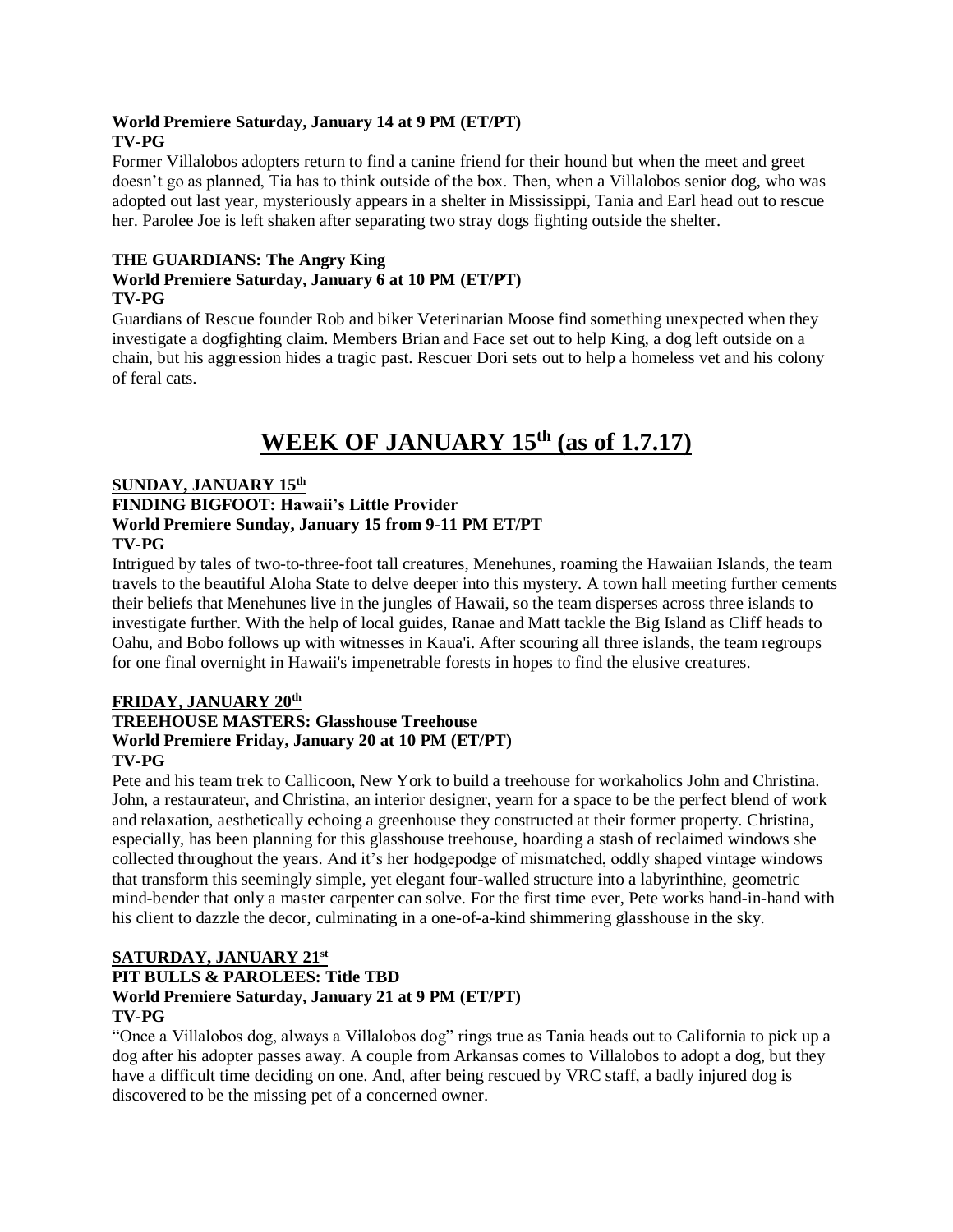### **World Premiere Saturday, January 14 at 9 PM (ET/PT) TV-PG**

Former Villalobos adopters return to find a canine friend for their hound but when the meet and greet doesn't go as planned, Tia has to think outside of the box. Then, when a Villalobos senior dog, who was adopted out last year, mysteriously appears in a shelter in Mississippi, Tania and Earl head out to rescue her. Parolee Joe is left shaken after separating two stray dogs fighting outside the shelter.

### **THE GUARDIANS: The Angry King**

### **World Premiere Saturday, January 6 at 10 PM (ET/PT) TV-PG**

Guardians of Rescue founder Rob and biker Veterinarian Moose find something unexpected when they investigate a dogfighting claim. Members Brian and Face set out to help King, a dog left outside on a chain, but his aggression hides a tragic past. Rescuer Dori sets out to help a homeless vet and his colony of feral cats.

# **WEEK OF JANUARY 15th (as of 1.7.17)**

### **SUNDAY, JANUARY 15th FINDING BIGFOOT: Hawaii's Little Provider World Premiere Sunday, January 15 from 9-11 PM ET/PT TV-PG**

Intrigued by tales of two-to-three-foot tall creatures, Menehunes, roaming the Hawaiian Islands, the team travels to the beautiful Aloha State to delve deeper into this mystery. A town hall meeting further cements their beliefs that Menehunes live in the jungles of Hawaii, so the team disperses across three islands to investigate further. With the help of local guides, Ranae and Matt tackle the Big Island as Cliff heads to Oahu, and Bobo follows up with witnesses in Kaua'i. After scouring all three islands, the team regroups for one final overnight in Hawaii's impenetrable forests in hopes to find the elusive creatures.

## **FRIDAY, JANUARY 20th**

# **TREEHOUSE MASTERS: Glasshouse Treehouse World Premiere Friday, January 20 at 10 PM (ET/PT) TV-PG**

Pete and his team trek to Callicoon, New York to build a treehouse for workaholics John and Christina. John, a restaurateur, and Christina, an interior designer, yearn for a space to be the perfect blend of work and relaxation, aesthetically echoing a greenhouse they constructed at their former property. Christina, especially, has been planning for this glasshouse treehouse, hoarding a stash of reclaimed windows she collected throughout the years. And it's her hodgepodge of mismatched, oddly shaped vintage windows that transform this seemingly simple, yet elegant four-walled structure into a labyrinthine, geometric mind-bender that only a master carpenter can solve. For the first time ever, Pete works hand-in-hand with his client to dazzle the decor, culminating in a one-of-a-kind shimmering glasshouse in the sky.

### **SATURDAY, JANUARY 21st PIT BULLS & PAROLEES: Title TBD World Premiere Saturday, January 21 at 9 PM (ET/PT) TV-PG**

"Once a Villalobos dog, always a Villalobos dog" rings true as Tania heads out to California to pick up a dog after his adopter passes away. A couple from Arkansas comes to Villalobos to adopt a dog, but they have a difficult time deciding on one. And, after being rescued by VRC staff, a badly injured dog is discovered to be the missing pet of a concerned owner.